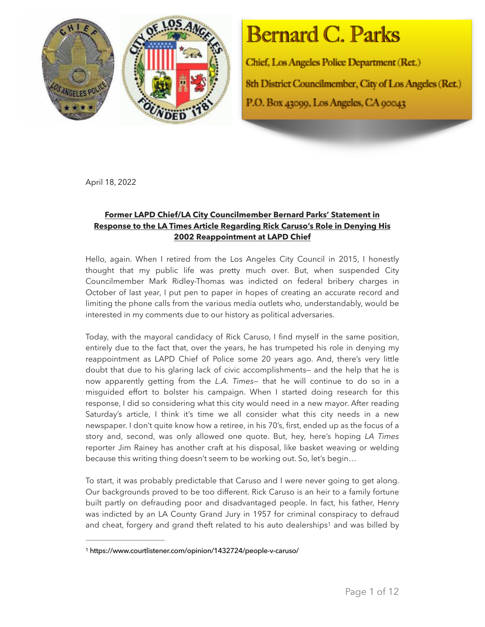

## Bernard C. Parks

Chief, Los Angeles Police Department (Ret.) 8th District Councilmember, City of Los Angeles (Ret.) P.O. Box 43000, Los Angeles, CA 00043

April 18, 2022

## **Former LAPD Chief/LA City Councilmember Bernard Parks' Statement in Response to the LA Times Article Regarding Rick Caruso's Role in Denying His 2002 Reappointment at LAPD Chief**

Hello, again. When I retired from the Los Angeles City Council in 2015, I honestly thought that my public life was pretty much over. But, when suspended City Councilmember Mark Ridley-Thomas was indicted on federal bribery charges in October of last year, I put pen to paper in hopes of creating an accurate record and limiting the phone calls from the various media outlets who, understandably, would be interested in my comments due to our history as political adversaries.

Today, with the mayoral candidacy of Rick Caruso, I find myself in the same position, entirely due to the fact that, over the years, he has trumpeted his role in denying my reappointment as LAPD Chief of Police some 20 years ago. And, there's very little doubt that due to his glaring lack of civic accomplishments— and the help that he is now apparently getting from the *L.A. Times—* that he will continue to do so in a misguided effort to bolster his campaign. When I started doing research for this response, I did so considering what this city would need in a new mayor. After reading Saturday's article, I think it's time we all consider what this city needs in a new newspaper. I don't quite know how a retiree, in his 70's, first, ended up as the focus of a story and, second, was only allowed one quote. But, hey, here's hoping *LA Times*  reporter Jim Rainey has another craft at his disposal, like basket weaving or welding because this writing thing doesn't seem to be working out. So, let's begin…

To start, it was probably predictable that Caruso and I were never going to get along. Our backgrounds proved to be too different. Rick Caruso is an heir to a family fortune built partly on defrauding poor and disadvantaged people. In fact, his father, Henry was indicted by an LA County Grand Jury in 1957 for criminal conspiracy to defraud and cheat, forgery and grand theft related to hi[s](#page-0-0) auto dealerships<sup>[1](#page-0-0)</sup> and was billed by

<span id="page-0-1"></span><span id="page-0-0"></span>https://www.courtlistener.com/opinion/1432724/people-v-caruso/ [1](#page-0-1)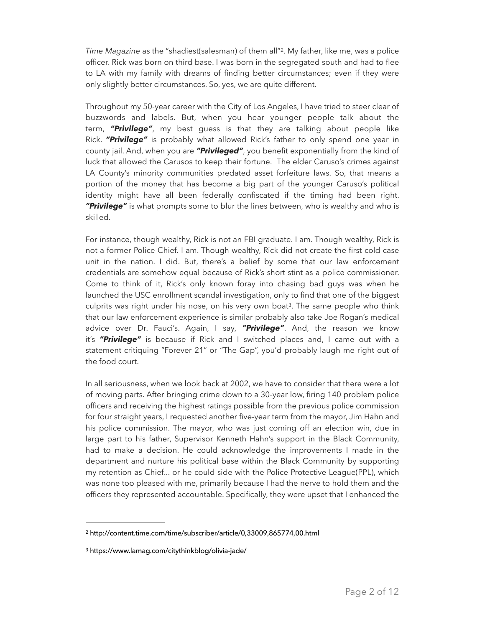<span id="page-1-2"></span>*Time Magazine* as the "shadiest(salesman) of them all"<sup>[2](#page-1-0)</sup>. My father, like me, was a police officer. Rick was born on third base. I was born in the segregated south and had to flee to LA with my family with dreams of finding better circumstances; even if they were only slightly better circumstances. So, yes, we are quite different.

Throughout my 50-year career with the City of Los Angeles, I have tried to steer clear of buzzwords and labels. But, when you hear younger people talk about the term, *"Privilege"*, my best guess is that they are talking about people like Rick. *"Privilege"* is probably what allowed Rick's father to only spend one year in county jail. And, when you are *"Privileged"*, you benefit exponentially from the kind of luck that allowed the Carusos to keep their fortune. The elder Caruso's crimes against LA County's minority communities predated asset forfeiture laws. So, that means a portion of the money that has become a big part of the younger Caruso's political identity might have all been federally confiscated if the timing had been right. *"Privilege"* is what prompts some to blur the lines between, who is wealthy and who is skilled.

<span id="page-1-3"></span>For instance, though wealthy, Rick is not an FBI graduate. I am. Though wealthy, Rick is not a former Police Chief. I am. Though wealthy, Rick did not create the first cold case unit in the nation. I did. But, there's a belief by some that our law enforcement credentials are somehow equal because of Rick's short stint as a police commissioner. Come to think of it, Rick's only known foray into chasing bad guys was when he launched the USC enrollment scandal investigation, only to find that one of the biggest culprits was right under his nose, on his very own boat<sup>[3](#page-1-1)</sup>. The same people who think that our law enforcement experience is similar probably also take Joe Rogan's medical advice over Dr. Fauci's. Again, I say, *"Privilege"*. And, the reason we know it's *"Privilege"* is because if Rick and I switched places and, I came out with a statement critiquing "Forever 21" or "The Gap", you'd probably laugh me right out of the food court.

In all seriousness, when we look back at 2002, we have to consider that there were a lot of moving parts. After bringing crime down to a 30-year low, firing 140 problem police officers and receiving the highest ratings possible from the previous police commission for four straight years, I requested another five-year term from the mayor, Jim Hahn and his police commission. The mayor, who was just coming off an election win, due in large part to his father, Supervisor Kenneth Hahn's support in the Black Community, had to make a decision. He could acknowledge the improvements I made in the department and nurture his political base within the Black Community by supporting my retention as Chief... or he could side with the Police Protective League(PPL), which was none too pleased with me, primarily because I had the nerve to hold them and the officers they represented accountable. Specifically, they were upset that I enhanced the

<span id="page-1-0"></span>http://content.time.com/time/subscriber/article/0,33009,865774,00.html [2](#page-1-2)

<span id="page-1-1"></span>https://www.lamag.com/citythinkblog/olivia-jade/ [3](#page-1-3)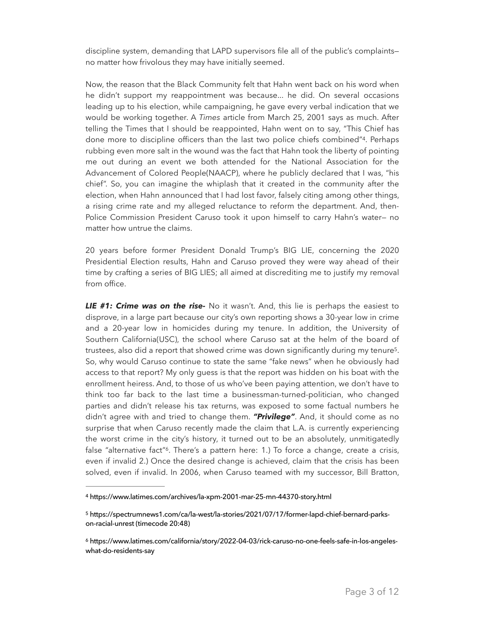discipline system, demanding that LAPD supervisors file all of the public's complaints no matter how frivolous they may have initially seemed.

<span id="page-2-3"></span>Now, the reason that the Black Community felt that Hahn went back on his word when he didn't support my reappointment was because... he did. On several occasions leading up to his election, while campaigning, he gave every verbal indication that we would be working together. A *Times* article from March 25, 2001 says as much. After telling the Times that I should be reappointed, Hahn went on to say, "This Chief has done more to discipline officers than the last two police chiefs combined"<sup>[4](#page-2-0)</sup>. Perhaps rubbing even more salt in the wound was the fact that Hahn took the liberty of pointing me out during an event we both attended for the National Association for the Advancement of Colored People(NAACP), where he publicly declared that I was, "his chief". So, you can imagine the whiplash that it created in the community after the election, when Hahn announced that I had lost favor, falsely citing among other things, a rising crime rate and my alleged reluctance to reform the department. And, then-Police Commission President Caruso took it upon himself to carry Hahn's water— no matter how untrue the claims.

20 years before former President Donald Trump's BIG LIE, concerning the 2020 Presidential Election results, Hahn and Caruso proved they were way ahead of their time by crafting a series of BIG LIES; all aimed at discrediting me to justify my removal from office.

<span id="page-2-4"></span>*LIE #1: Crime was on the rise-* No it wasn't. And, this lie is perhaps the easiest to disprove, in a large part because our city's own reporting shows a 30-year low in crime and a 20-year low in homicides during my tenure. In addition, the University of Southern California(USC), the school where Caruso sat at the helm of the board of trustees, also did a report that showed crime was down significantly during my tenure<sup>5</sup>[.](#page-2-1) So, why would Caruso continue to state the same "fake news" when he obviously had access to that report? My only guess is that the report was hidden on his boat with the enrollment heiress. And, to those of us who've been paying attention, we don't have to think too far back to the last time a businessman-turned-politician, who changed parties and didn't release his tax returns, was exposed to some factual numbers he didn't agree with and tried to change them. *"Privilege"*. And, it should come as no surprise that when Caruso recently made the claim that L.A. is currently experiencing the worst crime in the city's history, it turned out to be an absolutely, unmitigatedly false "alternative fact"<sup>6</sup>[.](#page-2-2) There's a pattern here: 1.) To force a change, create a crisis, even if invalid 2.) Once the desired change is achieved, claim that the crisis has been solved, even if invalid. In 2006, when Caruso teamed with my successor, Bill Bratton,

<span id="page-2-5"></span><span id="page-2-0"></span>https://www.latimes.com/archives/la-xpm-2001-mar-25-mn-44370-story.html [4](#page-2-3)

<span id="page-2-1"></span>[<sup>5</sup>](#page-2-4) https://spectrumnews1.com/ca/la-west/la-stories/2021/07/17/former-lapd-chief-bernard-parkson-racial-unrest (timecode 20:48)

<span id="page-2-2"></span>https://www.latimes.com/california/story/2022-04-03/rick-caruso-no-one-feels-safe-in-los-angeles- [6](#page-2-5) what-do-residents-say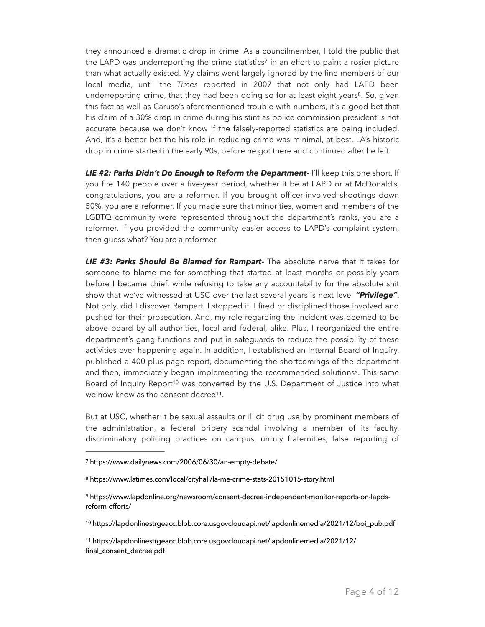<span id="page-3-6"></span><span id="page-3-5"></span>they announced a dramatic drop in crime. As a councilmember, I told the public that the LAPD wa[s](#page-3-0) underreporting the crime statistics<sup>[7](#page-3-0)</sup> in an effort to paint a rosier picture than what actually existed. My claims went largely ignored by the fine members of our local media, until the *Times* reported in 2007 that not only had LAPD been underreporting crime, that they had been doing so for at least eight years<sup>8</sup>[.](#page-3-1) So, given this fact as well as Caruso's aforementioned trouble with numbers, it's a good bet that his claim of a 30% drop in crime during his stint as police commission president is not accurate because we don't know if the falsely-reported statistics are being included. And, it's a better bet the his role in reducing crime was minimal, at best. LA's historic drop in crime started in the early 90s, before he got there and continued after he left.

*LIE #2: Parks Didn't Do Enough to Reform the Department-* I'll keep this one short. If you fire 140 people over a five-year period, whether it be at LAPD or at McDonald's, congratulations, you are a reformer. If you brought officer-involved shootings down 50%, you are a reformer. If you made sure that minorities, women and members of the LGBTQ community were represented throughout the department's ranks, you are a reformer. If you provided the community easier access to LAPD's complaint system, then guess what? You are a reformer.

*LIE #3: Parks Should Be Blamed for Rampart-* The absolute nerve that it takes for someone to blame me for something that started at least months or possibly years before I became chief, while refusing to take any accountability for the absolute shit show that we've witnessed at USC over the last several years is next level *"Privilege"*. Not only, did I discover Rampart, I stopped it. I fired or disciplined those involved and pushed for their prosecution. And, my role regarding the incident was deemed to be above board by all authorities, local and federal, alike. Plus, I reorganized the entire department's gang functions and put in safeguards to reduce the possibility of these activities ever happening again. In addition, I established an Internal Board of Inquiry, published a 400-plus page report, documenting the shortcomings of the department and then, immediately began implementing the recommended solutions<sup>9</sup>[.](#page-3-2) This same Board of Inquiry Report<sup>10</sup> was converted by the U.S. Departmen[t](#page-3-3) of Justice into what we now know as the consent decree<sup>[11](#page-3-4)</sup>.

<span id="page-3-9"></span><span id="page-3-8"></span><span id="page-3-7"></span>But at USC, whether it be sexual assaults or illicit drug use by prominent members of the administration, a federal bribery scandal involving a member of its faculty, discriminatory policing practices on campus, unruly fraternities, false reporting of

<span id="page-3-3"></span><sup>[10](#page-3-8)</sup> https://lapdonlinestrgeacc.blob.core.usgovcloudapi.net/lapdonlinemedia/2021/12/boi\_pub.pdf

<span id="page-3-4"></span> https://lapdonlinestrgeacc.blob.core.usgovcloudapi.net/lapdonlinemedia/2021/12/ [11](#page-3-9) final\_consent\_decree.pdf

<span id="page-3-0"></span>https://www.dailynews.com/2006/06/30/an-empty-debate/ [7](#page-3-5)

<span id="page-3-1"></span>https://www.latimes.com/local/cityhall/la-me-crime-stats-20151015-story.html [8](#page-3-6)

<span id="page-3-2"></span>https://www.lapdonline.org/newsroom/consent-decree-independent-monitor-reports-on-lapds- [9](#page-3-7) reform-efforts/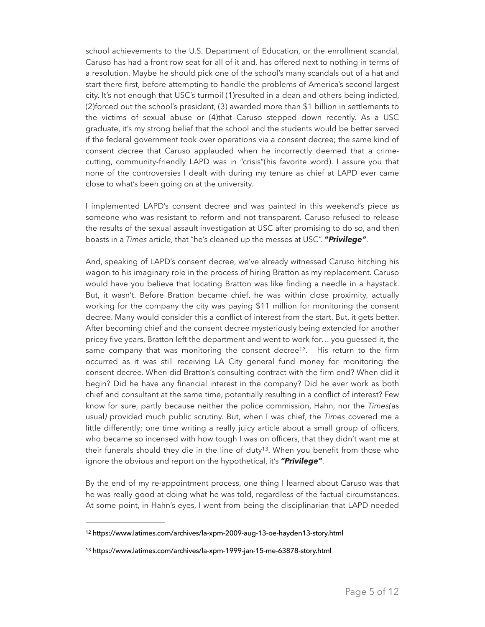school achievements to the U.S. Department of Education, or the enrollment scandal, Caruso has had a front row seat for all of it and, has offered next to nothing in terms of a resolution. Maybe he should pick one of the school's many scandals out of a hat and start there first, before attempting to handle the problems of America's second largest city. It's not enough that USC's turmoil (1)resulted in a dean and others being indicted, (2)forced out the school's president, (3) awarded more than \$1 billion in settlements to the victims of sexual abuse or (4)that Caruso stepped down recently. As a USC graduate, it's my strong belief that the school and the students would be better served if the federal government took over operations via a consent decree; the same kind of consent decree that Caruso applauded when he incorrectly deemed that a crimecutting, community-friendly LAPD was in "crisis"(his favorite word). I assure you that none of the controversies I dealt with during my tenure as chief at LAPD ever came close to what's been going on at the university.

I implemented LAPD's consent decree and was painted in this weekend's piece as someone who was resistant to reform and not transparent. Caruso refused to release the results of the sexual assault investigation at USC after promising to do so, and then boasts in a *Times* article, that "he's cleaned up the messes at USC". **"***Privilege"*.

<span id="page-4-2"></span>And, speaking of LAPD's consent decree, we've already witnessed Caruso hitching his wagon to his imaginary role in the process of hiring Bratton as my replacement. Caruso would have you believe that locating Bratton was like finding a needle in a haystack. But, it wasn't. Before Bratton became chief, he was within close proximity, actually working for the company the city was paying \$11 million for monitoring the consent decree. Many would consider this a conflict of interest from the start. But, it gets better. After becoming chief and the consent decree mysteriously being extended for another pricey five years, Bratton left the department and went to work for… you guessed it, the same company that was monitoring the consent decree<sup>12</sup>[.](#page-4-0) His return to the firm occurred as it was still receiving LA City general fund money for monitoring the consent decree. When did Bratton's consulting contract with the firm end? When did it begin? Did he have any financial interest in the company? Did he ever work as both chief and consultant at the same time, potentially resulting in a conflict of interest? Few know for sure, partly because neither the police commission, Hahn, nor the *Times(*as usual*)* provided much public scrutiny. But, when I was chief, the *Times* covered me a little differently; one time writing a really juicy article about a small group of officers, who became so incensed with how tough I was on officers, that they didn't want me at their funerals should they die in the line of duty<sup>13</sup>[.](#page-4-1) When you benefit from those who ignore the obvious and report on the hypothetical, it's *"Privilege"*.

<span id="page-4-3"></span>By the end of my re-appointment process, one thing I learned about Caruso was that he was really good at doing what he was told, regardless of the factual circumstances. At some point, in Hahn's eyes, I went from being the disciplinarian that LAPD needed

<span id="page-4-0"></span>https://www.latimes.com/archives/la-xpm-2009-aug-13-oe-hayden13-story.html [12](#page-4-2)

<span id="page-4-1"></span>[<sup>13</sup>](#page-4-3) https://www.latimes.com/archives/la-xpm-1999-jan-15-me-63878-story.html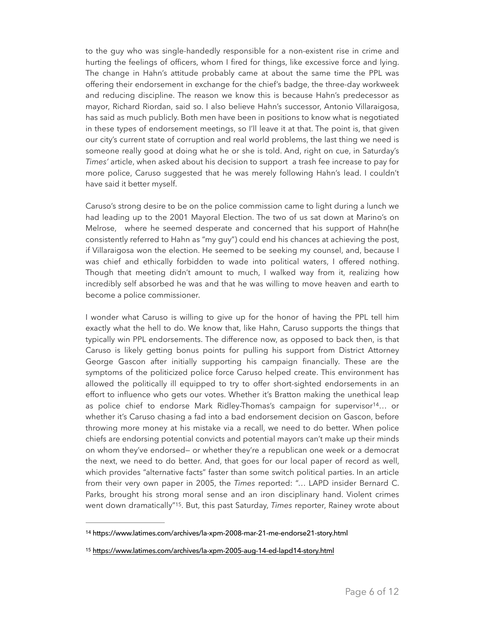to the guy who was single-handedly responsible for a non-existent rise in crime and hurting the feelings of officers, whom I fired for things, like excessive force and lying. The change in Hahn's attitude probably came at about the same time the PPL was offering their endorsement in exchange for the chief's badge, the three-day workweek and reducing discipline. The reason we know this is because Hahn's predecessor as mayor, Richard Riordan, said so. I also believe Hahn's successor, Antonio Villaraigosa, has said as much publicly. Both men have been in positions to know what is negotiated in these types of endorsement meetings, so I'll leave it at that. The point is, that given our city's current state of corruption and real world problems, the last thing we need is someone really good at doing what he or she is told. And, right on cue, in Saturday's *Times'* article, when asked about his decision to support a trash fee increase to pay for more police, Caruso suggested that he was merely following Hahn's lead. I couldn't have said it better myself.

Caruso's strong desire to be on the police commission came to light during a lunch we had leading up to the 2001 Mayoral Election. The two of us sat down at Marino's on Melrose, where he seemed desperate and concerned that his support of Hahn(he consistently referred to Hahn as "my guy") could end his chances at achieving the post, if Villaraigosa won the election. He seemed to be seeking my counsel, and, because I was chief and ethically forbidden to wade into political waters, I offered nothing. Though that meeting didn't amount to much, I walked way from it, realizing how incredibly self absorbed he was and that he was willing to move heaven and earth to become a police commissioner.

<span id="page-5-2"></span>I wonder what Caruso is willing to give up for the honor of having the PPL tell him exactly what the hell to do. We know that, like Hahn, Caruso supports the things that typically win PPL endorsements. The difference now, as opposed to back then, is that Caruso is likely getting bonus points for pulling his support from District Attorney George Gascon after initially supporting his campaign financially. These are the symptoms of the politicized police force Caruso helped create. This environment has allowed the politically ill equipped to try to offer short-sighted endorsements in an effort to influence who gets our votes. Whether it's Bratton making the unethical leap as police chief to endorse Mark Ridley-Thomas's campaign for supervisor<sup>[14](#page-5-0)</sup>... or whether it's Caruso chasing a fad into a bad endorsement decision on Gascon, before throwing more money at his mistake via a recall, we need to do better. When police chiefs are endorsing potential convicts and potential mayors can't make up their minds on whom they've endorsed— or whether they're a republican one week or a democrat the next, we need to do better. And, that goes for our local paper of record as well, which provides "alternative facts" faster than some switch political parties. In an article from their very own paper in 2005, the *Times* reported: "… LAPD insider Bernard C. Parks, brought his strong moral sense and an iron disciplinary hand. Violent crimes went down dramatically<sup>"[15](#page-5-1)</sup>. But, this past Saturday, *Times* reporter, Rainey wrote about

<span id="page-5-3"></span><span id="page-5-0"></span><sup>&</sup>lt;sup>[14](#page-5-2)</sup> https://www.latimes.com/archives/la-xpm-2008-mar-21-me-endorse21-story.html

<span id="page-5-1"></span><sup>15</sup> <https://www.latimes.com/archives/la-xpm-2005-aug-14-ed-lapd14-story.html>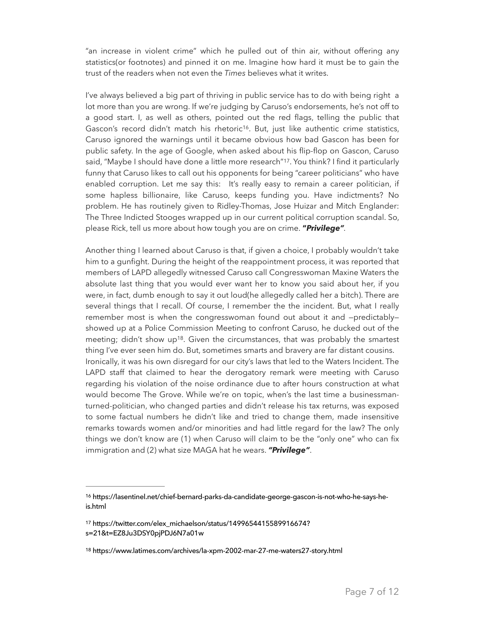"an increase in violent crime" which he pulled out of thin air, without offering any statistics(or footnotes) and pinned it on me. Imagine how hard it must be to gain the trust of the readers when not even the *Times* believes what it writes.

<span id="page-6-4"></span><span id="page-6-3"></span>I've always believed a big part of thriving in public service has to do with being right a lot more than you are wrong. If we're judging by Caruso's endorsements, he's not off to a good start. I, as well as others, pointed out the red flags, telling the public that Gascon's record didn't match his rhetoric<sup>[16](#page-6-0)</sup>. But, just like authentic crime statistics, Caruso ignored the warnings until it became obvious how bad Gascon has been for public safety. In the age of Google, when asked about his flip-flop on Gascon, Caruso said, "Maybe I should have done a little more research"<sup>17</sup>[.](#page-6-1) You think? I find it particularly funny that Caruso likes to call out his opponents for being "career politicians" who have enabled corruption. Let me say this: It's really easy to remain a career politician, if some hapless billionaire, like Caruso, keeps funding you. Have indictments? No problem. He has routinely given to Ridley-Thomas, Jose Huizar and Mitch Englander: The Three Indicted Stooges wrapped up in our current political corruption scandal. So, please Rick, tell us more about how tough you are on crime. **"***Privilege".*

<span id="page-6-5"></span>Another thing I learned about Caruso is that, if given a choice, I probably wouldn't take him to a gunfight. During the height of the reappointment process, it was reported that members of LAPD allegedly witnessed Caruso call Congresswoman Maxine Waters the absolute last thing that you would ever want her to know you said about her, if you were, in fact, dumb enough to say it out loud(he allegedly called her a bitch). There are several things that I recall. Of course, I remember the the incident. But, what I really remember most is when the congresswoman found out about it and —predictably showed up at a Police Commission Meeting to confront Caruso, he ducked out of the meeting; didn't show up<sup>18</sup>[.](#page-6-2) Given the circumstances, that was probably the smartest thing I've ever seen him do. But, sometimes smarts and bravery are far distant cousins. Ironically, it was his own disregard for our city's laws that led to the Waters Incident. The LAPD staff that claimed to hear the derogatory remark were meeting with Caruso regarding his violation of the noise ordinance due to after hours construction at what would become The Grove. While we're on topic, when's the last time a businessmanturned-politician, who changed parties and didn't release his tax returns, was exposed to some factual numbers he didn't like and tried to change them, made insensitive remarks towards women and/or minorities and had little regard for the law? The only things we don't know are (1) when Caruso will claim to be the "only one" who can fix immigration and (2) what size MAGA hat he wears. *"Privilege"*.

<span id="page-6-0"></span><sup>&</sup>lt;sup>[16](#page-6-3)</sup> https://lasentinel.net/chief-bernard-parks-da-candidate-george-gascon-is-not-who-he-says-heis.html

<span id="page-6-1"></span>[<sup>17</sup>](#page-6-4) https://twitter.com/elex\_michaelson/status/1499654415589916674? s=21&t=EZ8Ju3DSY0pjPDJ6N7a01w

<span id="page-6-2"></span>[<sup>18</sup>](#page-6-5) https://www.latimes.com/archives/la-xpm-2002-mar-27-me-waters27-story.html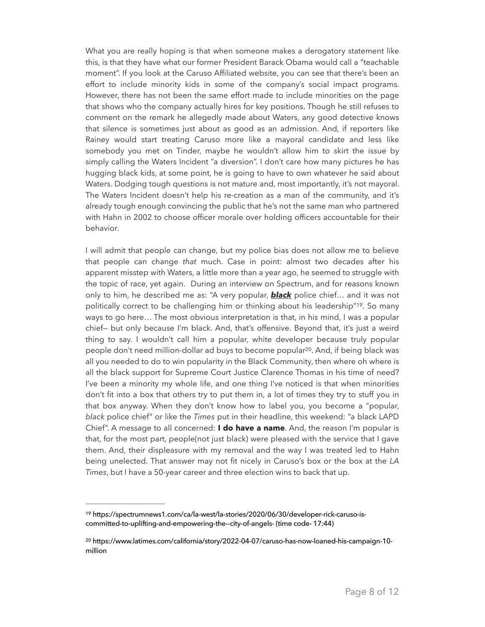What you are really hoping is that when someone makes a derogatory statement like this, is that they have what our former President Barack Obama would call a "teachable moment". If you look at the Caruso Affiliated website, you can see that there's been an effort to include minority kids in some of the company's social impact programs. However, there has not been the same effort made to include minorities on the page that shows who the company actually hires for key positions. Though he still refuses to comment on the remark he allegedly made about Waters, any good detective knows that silence is sometimes just about as good as an admission. And, if reporters like Rainey would start treating Caruso more like a mayoral candidate and less like somebody you met on Tinder, maybe he wouldn't allow him to skirt the issue by simply calling the Waters Incident "a diversion". I don't care how many pictures he has hugging black kids, at some point, he is going to have to own whatever he said about Waters. Dodging tough questions is not mature and, most importantly, it's not mayoral. The Waters Incident doesn't help his re-creation as a man of the community, and it's already tough enough convincing the public that he's not the same man who partnered with Hahn in 2002 to choose officer morale over holding officers accountable for their behavior.

<span id="page-7-3"></span><span id="page-7-2"></span>I will admit that people can change, but my police bias does not allow me to believe that people can change *that* much. Case in point: almost two decades after his apparent misstep with Waters, a little more than a year ago, he seemed to struggle with the topic of race, yet again. During an interview on Spectrum, and for reasons known only to him, he described me as: "A very popular, *black* police chief… and it was not politically correct to be challenging him or thinking about his leadership"<sup>19</sup>[.](#page-7-0) So many ways to go here… The most obvious interpretation is that, in his mind, I was a popular chief— but only because I'm black. And, that's offensive. Beyond that, it's just a weird thing to say. I wouldn't call him a popular, white developer because truly popular people don't need million-dollar ad buys to become popular<sup>[20](#page-7-1)</sup>. And, if being black was all you needed to do to win popularity in the Black Community, then where oh where is all the black support for Supreme Court Justice Clarence Thomas in his time of need? I've been a minority my whole life, and one thing I've noticed is that when minorities don't fit into a box that others try to put them in, a lot of times they try to stuff you in that box anyway. When they don't know how to label you, you become a "popular, *black* police chief" or like the *Times* put in their headline, this weekend: "a black LAPD Chief". A message to all concerned: **I do have a name**. And, the reason I'm popular is that, for the most part, people(not just black) were pleased with the service that I gave them. And, their displeasure with my removal and the way I was treated led to Hahn being unelected. That answer may not fit nicely in Caruso's box or the box at the *LA Times*, but I have a 50-year career and three election wins to back that up.

<span id="page-7-0"></span><sup>&</sup>lt;sup>[19](#page-7-2)</sup> https://spectrumnews1.com/ca/la-west/la-stories/2020/06/30/developer-rick-caruso-iscommitted-to-uplifting-and-empowering-the--city-of-angels- (time code- 17:44)

<span id="page-7-1"></span>https://www.latimes.com/california/story/2022-04-07/caruso-has-now-loaned-his-campaign-10- [20](#page-7-3) million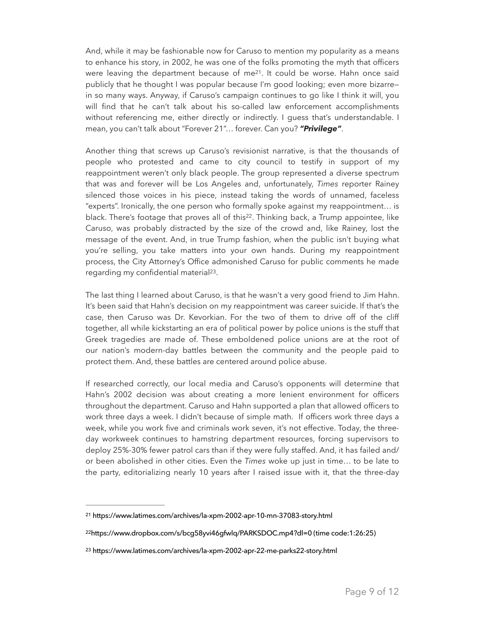<span id="page-8-3"></span>And, while it may be fashionable now for Caruso to mention my popularity as a means to enhance his story, in 2002, he was one of the folks promoting the myth that officers were leaving the department because of me $2<sup>1</sup>$ . It could be worse. Hahn once said publicly that he thought I was popular because I'm good looking; even more bizarre in so many ways. Anyway, if Caruso's campaign continues to go like I think it will, you will find that he can't talk about his so-called law enforcement accomplishments without referencing me, either directly or indirectly. I guess that's understandable. I mean, you can't talk about "Forever 21"… forever. Can you? *"Privilege"*.

<span id="page-8-4"></span>Another thing that screws up Caruso's revisionist narrative, is that the thousands of people who protested and came to city council to testify in support of my reappointment weren't only black people. The group represented a diverse spectrum that was and forever will be Los Angeles and, unfortunately, *Times* reporter Rainey silenced those voices in his piece, instead taking the words of unnamed, faceless "experts". Ironically, the one person who formally spoke against my reappointment… is black. There's footage that proves all of this<sup>[22](#page-8-1)</sup>. Thinking back, a Trump appointee, like Caruso, was probably distracted by the size of the crowd and, like Rainey, lost the message of the event. And, in true Trump fashion, when the public isn't buying what you're selling, you take matters into your own hands. During my reappointment process, the City Attorney's Office admonished Caruso for public comments he made regarding my confidential material<sup>23</sup>[.](#page-8-2)

<span id="page-8-5"></span>The last thing I learned about Caruso, is that he wasn't a very good friend to Jim Hahn. It's been said that Hahn's decision on my reappointment was career suicide. If that's the case, then Caruso was Dr. Kevorkian. For the two of them to drive off of the cliff together, all while kickstarting an era of political power by police unions is the stuff that Greek tragedies are made of. These emboldened police unions are at the root of our nation's modern-day battles between the community and the people paid to protect them. And, these battles are centered around police abuse.

If researched correctly, our local media and Caruso's opponents will determine that Hahn's 2002 decision was about creating a more lenient environment for officers throughout the department. Caruso and Hahn supported a plan that allowed officers to work three days a week. I didn't because of simple math. If officers work three days a week, while you work five and criminals work seven, it's not effective. Today, the threeday workweek continues to hamstring department resources, forcing supervisors to deploy 25%-30% fewer patrol cars than if they were fully staffed. And, it has failed and/ or been abolished in other cities. Even the *Times* woke up just in time… to be late to the party, editorializing nearly 10 years after I raised issue with it, that the three-day

<span id="page-8-0"></span>https://www.latimes.com/archives/la-xpm-2002-apr-10-mn-37083-story.html [21](#page-8-3)

<span id="page-8-1"></span><sup>&</sup>lt;sup>[22](#page-8-4)</sup>https://www.dropbox.com/s/bcq58yvi46qfwlq/PARKSDOC.mp4?dl=0 (time code:1:26:25)

<span id="page-8-2"></span><sup>&</sup>lt;sup>[23](#page-8-5)</sup> https://www.latimes.com/archives/la-xpm-2002-apr-22-me-parks22-story.html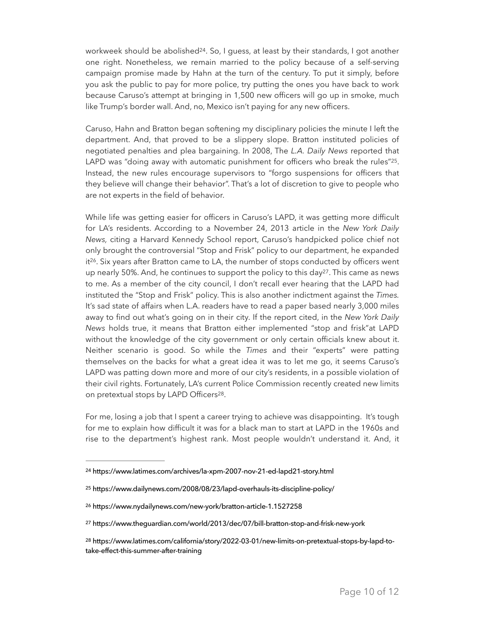<span id="page-9-5"></span>workweek should be abolished<sup>24</sup>[.](#page-9-0) So, I guess, at least by their standards, I got another one right. Nonetheless, we remain married to the policy because of a self-serving campaign promise made by Hahn at the turn of the century. To put it simply, before you ask the public to pay for more police, try putting the ones you have back to work because Caruso's attempt at bringing in 1,500 new officers will go up in smoke, much like Trump's border wall. And, no, Mexico isn't paying for any new officers.

<span id="page-9-6"></span>Caruso, Hahn and Bratton began softening my disciplinary policies the minute I left the department. And, that proved to be a slippery slope. Bratton instituted policies of negotiated penalties and plea bargaining. In 2008, The *L.A. Daily News* reported that LAPD was "doing away with automatic punishment for officers who break the rules" $25$ [.](#page-9-1) Instead, the new rules encourage supervisors to "forgo suspensions for officers that they believe will change their behavior". That's a lot of discretion to give to people who are not experts in the field of behavior.

<span id="page-9-8"></span><span id="page-9-7"></span>While life was getting easier for officers in Caruso's LAPD, it was getting more difficult for LA's residents. According to a November 24, 2013 article in the *New York Daily News,* citing a Harvard Kennedy School report, Caruso's handpicked police chief not only brought the controversial "Stop and Frisk" policy to our department, he expanded it<sup>[26](#page-9-2)</sup>. Six years after Bratton came to LA, the number of stops conducted by officers went up nearly 50%. And, he continues to support the policy to this day<sup>[27](#page-9-3)</sup>. This came as news to me. As a member of the city council, I don't recall ever hearing that the LAPD had instituted the "Stop and Frisk" policy. This is also another indictment against the *Times.*  It's sad state of affairs when L.A. readers have to read a paper based nearly 3,000 miles away to find out what's going on in their city. If the report cited, in the *New York Daily News* holds true, it means that Bratton either implemented "stop and frisk"at LAPD without the knowledge of the city government or only certain officials knew about it. Neither scenario is good. So while the *Times* and their "experts" were patting themselves on the backs for what a great idea it was to let me go, it seems Caruso's LAPD was patting down more and more of our city's residents, in a possible violation of their civil rights. Fortunately, LA's current Police Commission recently created new limits on pretextual stops by LAPD Officers<sup>[28](#page-9-4)</sup>.

<span id="page-9-9"></span>For me, losing a job that I spent a career trying to achieve was disappointing. It's tough for me to explain how difficult it was for a black man to start at LAPD in the 1960s and rise to the department's highest rank. Most people wouldn't understand it. And, it

<span id="page-9-0"></span><sup>&</sup>lt;sup>[24](#page-9-5)</sup> https://www.latimes.com/archives/la-xpm-2007-nov-21-ed-lapd21-story.html

<span id="page-9-1"></span>https://www.dailynews.com/2008/08/23/lapd-overhauls-its-discipline-policy/ [25](#page-9-6)

<span id="page-9-2"></span>[<sup>26</sup>](#page-9-7) https://www.nydailynews.com/new-york/bratton-article-1.1527258

<span id="page-9-3"></span>[<sup>27</sup>](#page-9-8) https://www.theguardian.com/world/2013/dec/07/bill-bratton-stop-and-frisk-new-york

<span id="page-9-4"></span>https://www.latimes.com/california/story/2022-03-01/new-limits-on-pretextual-stops-by-lapd-to- [28](#page-9-9) take-effect-this-summer-after-training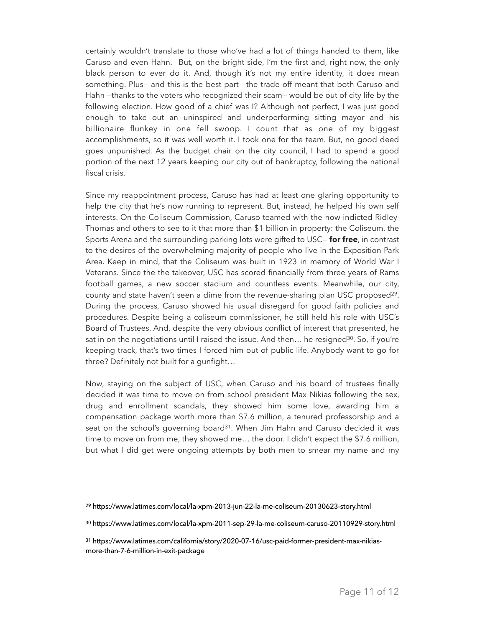certainly wouldn't translate to those who've had a lot of things handed to them, like Caruso and even Hahn. But, on the bright side, I'm the first and, right now, the only black person to ever do it. And, though it's not my entire identity, it does mean something. Plus— and this is the best part —the trade off meant that both Caruso and Hahn —thanks to the voters who recognized their scam— would be out of city life by the following election. How good of a chief was I? Although not perfect, I was just good enough to take out an uninspired and underperforming sitting mayor and his billionaire flunkey in one fell swoop. I count that as one of my biggest accomplishments, so it was well worth it. I took one for the team. But, no good deed goes unpunished. As the budget chair on the city council, I had to spend a good portion of the next 12 years keeping our city out of bankruptcy, following the national fiscal crisis.

Since my reappointment process, Caruso has had at least one glaring opportunity to help the city that he's now running to represent. But, instead, he helped his own self interests. On the Coliseum Commission, Caruso teamed with the now-indicted Ridley-Thomas and others to see to it that more than \$1 billion in property: the Coliseum, the Sports Arena and the surrounding parking lots were gifted to USC— **for free**, in contrast to the desires of the overwhelming majority of people who live in the Exposition Park Area. Keep in mind, that the Coliseum was built in 1923 in memory of World War I Veterans. Since the the takeover, USC has scored financially from three years of Rams football games, a new soccer stadium and countless events. Meanwhile, our city, county and state haven't seen a dime from the revenue-sharing plan USC proposed<sup>29</sup>[.](#page-10-0) During the process, Caruso showed his usual disregard for good faith policies and procedures. Despite being a coliseum commissioner, he still held his role with USC's Board of Trustees. And, despite the very obvious conflict of interest that presented, he sat in on the negotiations until I raised the issue. And then... he resigned<sup>[30](#page-10-1)</sup>. So, if you're keeping track, that's two times I forced him out of public life. Anybody want to go for three? Definitely not built for a gunfight…

<span id="page-10-5"></span><span id="page-10-4"></span><span id="page-10-3"></span>Now, staying on the subject of USC, when Caruso and his board of trustees finally decided it was time to move on from school president Max Nikias following the sex, drug and enrollment scandals, they showed him some love, awarding him a compensation package worth more than \$7.6 million, a tenured professorship and a seat on the school's governing board<sup>31</sup>[.](#page-10-2) When Jim Hahn and Caruso decided it was time to move on from me, they showed me… the door. I didn't expect the \$7.6 million, but what I did get were ongoing attempts by both men to smear my name and my

<span id="page-10-0"></span><sup>&</sup>lt;sup>[29](#page-10-3)</sup> https://www.latimes.com/local/la-xpm-2013-jun-22-la-me-coliseum-20130623-story.html

<span id="page-10-1"></span>[<sup>30</sup>](#page-10-4) https://www.latimes.com/local/la-xpm-2011-sep-29-la-me-coliseum-caruso-20110929-story.html

<span id="page-10-2"></span>https://www.latimes.com/california/story/2020-07-16/usc-paid-former-president-max-nikias- [31](#page-10-5) more-than-7-6-million-in-exit-package